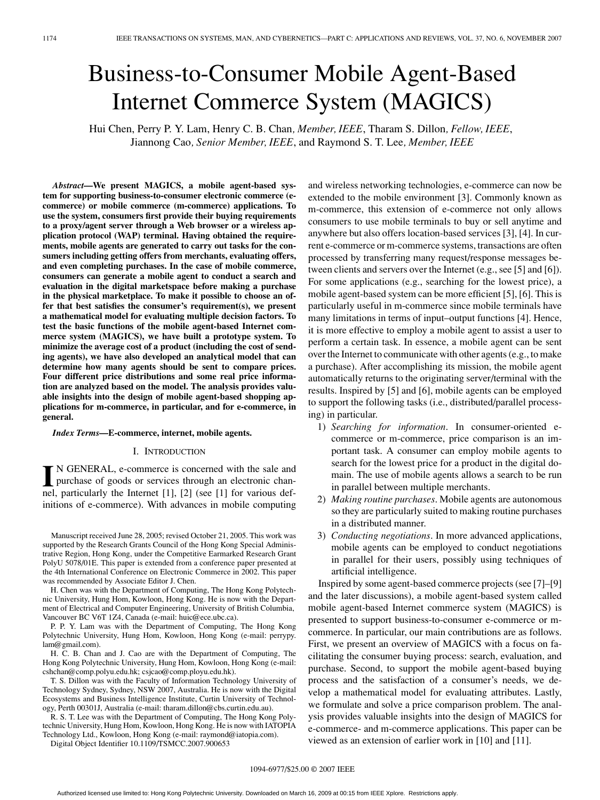# Business-to-Consumer Mobile Agent-Based Internet Commerce System (MAGICS)

Hui Chen, Perry P. Y. Lam, Henry C. B. Chan*, Member, IEEE*, Tharam S. Dillon*, Fellow, IEEE*, Jiannong Cao*, Senior Member, IEEE*, and Raymond S. T. Lee*, Member, IEEE*

*Abstract***—We present MAGICS, a mobile agent-based system for supporting business-to-consumer electronic commerce (ecommerce) or mobile commerce (m-commerce) applications. To use the system, consumers first provide their buying requirements to a proxy/agent server through a Web browser or a wireless application protocol (WAP) terminal. Having obtained the requirements, mobile agents are generated to carry out tasks for the consumers including getting offers from merchants, evaluating offers, and even completing purchases. In the case of mobile commerce, consumers can generate a mobile agent to conduct a search and evaluation in the digital marketspace before making a purchase in the physical marketplace. To make it possible to choose an offer that best satisfies the consumer's requirement(s), we present a mathematical model for evaluating multiple decision factors. To test the basic functions of the mobile agent-based Internet commerce system (MAGICS), we have built a prototype system. To minimize the average cost of a product (including the cost of sending agents), we have also developed an analytical model that can determine how many agents should be sent to compare prices. Four different price distributions and some real price information are analyzed based on the model. The analysis provides valuable insights into the design of mobile agent-based shopping applications for m-commerce, in particular, and for e-commerce, in general.**

#### *Index Terms***—E-commerce, internet, mobile agents.**

## I. INTRODUCTION

**I** N GENERAL, e-commerce is concerned with the sale and purchase of goods or services through an electronic chan-N GENERAL, e-commerce is concerned with the sale and nel, particularly the Internet [1], [2] (see [1] for various definitions of e-commerce). With advances in mobile computing

Manuscript received June 28, 2005; revised October 21, 2005. This work was supported by the Research Grants Council of the Hong Kong Special Administrative Region, Hong Kong, under the Competitive Earmarked Research Grant PolyU 5078/01E. This paper is extended from a conference paper presented at the 4th International Conference on Electronic Commerce in 2002. This paper was recommended by Associate Editor J. Chen.

H. Chen was with the Department of Computing, The Hong Kong Polytechnic University, Hung Hom, Kowloon, Hong Kong. He is now with the Department of Electrical and Computer Engineering, University of British Columbia, Vancouver BC V6T 1Z4, Canada (e-mail: huic@ece.ubc.ca).

P. P. Y. Lam was with the Department of Computing, The Hong Kong Polytechnic University, Hung Hom, Kowloon, Hong Kong (e-mail: perrypy. lam@gmail.com).

H. C. B. Chan and J. Cao are with the Department of Computing, The Hong Kong Polytechnic University, Hung Hom, Kowloon, Hong Kong (e-mail: cshchan@comp.polyu.edu.hk; csjcao@comp.ployu.edu.hk).

T. S. Dillon was with the Faculty of Information Technology University of Technology Sydney, Sydney, NSW 2007, Australia. He is now with the Digital Ecosystems and Business Intelligence Institute, Curtin University of Technology, Perth 00301J, Australia (e-mail: tharam.dillon@cbs.curtin.edu.au).

R. S. T. Lee was with the Department of Computing, The Hong Kong Polytechnic University, Hung Hom, Kowloon, Hong Kong. He is now with IATOPIA Technology Ltd., Kowloon, Hong Kong (e-mail: raymond@iatopia.com).

Digital Object Identifier 10.1109/TSMCC.2007.900653

and wireless networking technologies, e-commerce can now be extended to the mobile environment [3]. Commonly known as m-commerce, this extension of e-commerce not only allows consumers to use mobile terminals to buy or sell anytime and anywhere but also offers location-based services [3], [4]. In current e-commerce or m-commerce systems, transactions are often processed by transferring many request/response messages between clients and servers over the Internet (e.g., see [5] and [6]). For some applications (e.g., searching for the lowest price), a mobile agent-based system can be more efficient [5], [6]. This is particularly useful in m-commerce since mobile terminals have many limitations in terms of input–output functions [4]. Hence, it is more effective to employ a mobile agent to assist a user to perform a certain task. In essence, a mobile agent can be sent over the Internet to communicate with other agents (e.g., to make a purchase). After accomplishing its mission, the mobile agent automatically returns to the originating server/terminal with the results. Inspired by [5] and [6], mobile agents can be employed to support the following tasks (i.e., distributed/parallel processing) in particular.

- 1) *Searching for information*. In consumer-oriented ecommerce or m-commerce, price comparison is an important task. A consumer can employ mobile agents to search for the lowest price for a product in the digital domain. The use of mobile agents allows a search to be run in parallel between multiple merchants.
- 2) *Making routine purchases*. Mobile agents are autonomous so they are particularly suited to making routine purchases in a distributed manner.
- 3) *Conducting negotiations*. In more advanced applications, mobile agents can be employed to conduct negotiations in parallel for their users, possibly using techniques of artificial intelligence.

Inspired by some agent-based commerce projects (see [7]–[9] and the later discussions), a mobile agent-based system called mobile agent-based Internet commerce system (MAGICS) is presented to support business-to-consumer e-commerce or mcommerce. In particular, our main contributions are as follows. First, we present an overview of MAGICS with a focus on facilitating the consumer buying process: search, evaluation, and purchase. Second, to support the mobile agent-based buying process and the satisfaction of a consumer's needs, we develop a mathematical model for evaluating attributes. Lastly, we formulate and solve a price comparison problem. The analysis provides valuable insights into the design of MAGICS for e-commerce- and m-commerce applications. This paper can be viewed as an extension of earlier work in [10] and [11].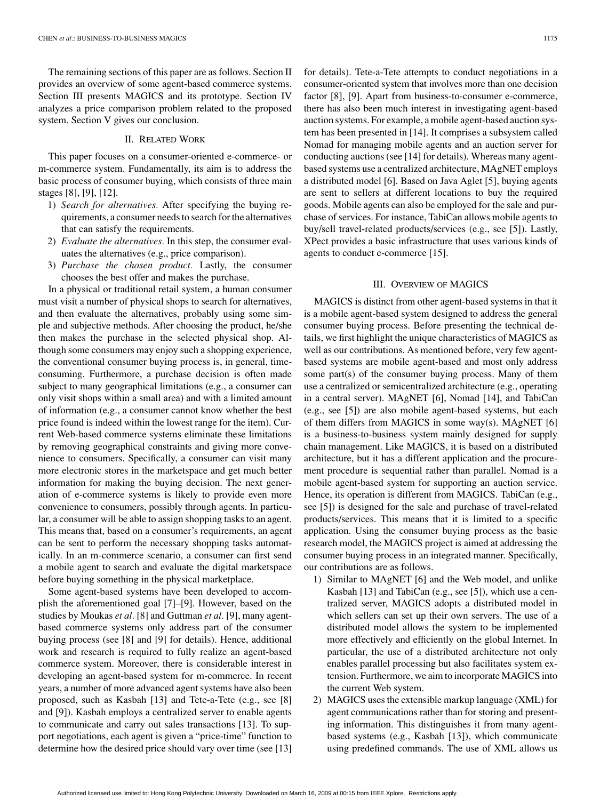The remaining sections of this paper are as follows. Section II provides an overview of some agent-based commerce systems. Section III presents MAGICS and its prototype. Section IV analyzes a price comparison problem related to the proposed system. Section V gives our conclusion.

#### II. RELATED WORK

This paper focuses on a consumer-oriented e-commerce- or m-commerce system. Fundamentally, its aim is to address the basic process of consumer buying, which consists of three main stages [8], [9], [12].

- 1) *Search for alternatives.* After specifying the buying requirements, a consumer needs to search for the alternatives that can satisfy the requirements.
- 2) *Evaluate the alternatives.* In this step, the consumer evaluates the alternatives (e.g., price comparison).
- 3) *Purchase the chosen product.* Lastly, the consumer chooses the best offer and makes the purchase.

In a physical or traditional retail system, a human consumer must visit a number of physical shops to search for alternatives, and then evaluate the alternatives, probably using some simple and subjective methods. After choosing the product, he/she then makes the purchase in the selected physical shop. Although some consumers may enjoy such a shopping experience, the conventional consumer buying process is, in general, timeconsuming. Furthermore, a purchase decision is often made subject to many geographical limitations (e.g., a consumer can only visit shops within a small area) and with a limited amount of information (e.g., a consumer cannot know whether the best price found is indeed within the lowest range for the item). Current Web-based commerce systems eliminate these limitations by removing geographical constraints and giving more convenience to consumers. Specifically, a consumer can visit many more electronic stores in the marketspace and get much better information for making the buying decision. The next generation of e-commerce systems is likely to provide even more convenience to consumers, possibly through agents. In particular, a consumer will be able to assign shopping tasks to an agent. This means that, based on a consumer's requirements, an agent can be sent to perform the necessary shopping tasks automatically. In an m-commerce scenario, a consumer can first send a mobile agent to search and evaluate the digital marketspace before buying something in the physical marketplace.

Some agent-based systems have been developed to accomplish the aforementioned goal [7]–[9]. However, based on the studies by Moukas *et al.* [8] and Guttman *et al.* [9], many agentbased commerce systems only address part of the consumer buying process (see [8] and [9] for details). Hence, additional work and research is required to fully realize an agent-based commerce system. Moreover, there is considerable interest in developing an agent-based system for m-commerce. In recent years, a number of more advanced agent systems have also been proposed, such as Kasbah [13] and Tete-a-Tete (e.g., see [8] and [9]). Kasbah employs a centralized server to enable agents to communicate and carry out sales transactions [13]. To support negotiations, each agent is given a "price-time" function to determine how the desired price should vary over time (see [13] for details). Tete-a-Tete attempts to conduct negotiations in a consumer-oriented system that involves more than one decision factor [8], [9]. Apart from business-to-consumer e-commerce, there has also been much interest in investigating agent-based auction systems. For example, a mobile agent-based auction system has been presented in [14]. It comprises a subsystem called Nomad for managing mobile agents and an auction server for conducting auctions (see [14] for details). Whereas many agentbased systems use a centralized architecture, MAgNET employs a distributed model [6]. Based on Java Aglet [5], buying agents are sent to sellers at different locations to buy the required goods. Mobile agents can also be employed for the sale and purchase of services. For instance, TabiCan allows mobile agents to buy/sell travel-related products/services (e.g., see [5]). Lastly, XPect provides a basic infrastructure that uses various kinds of agents to conduct e-commerce [15].

#### III. OVERVIEW OF MAGICS

MAGICS is distinct from other agent-based systems in that it is a mobile agent-based system designed to address the general consumer buying process. Before presenting the technical details, we first highlight the unique characteristics of MAGICS as well as our contributions. As mentioned before, very few agentbased systems are mobile agent-based and most only address some part(s) of the consumer buying process. Many of them use a centralized or semicentralized architecture (e.g., operating in a central server). MAgNET [6], Nomad [14], and TabiCan (e.g., see [5]) are also mobile agent-based systems, but each of them differs from MAGICS in some way(s). MAgNET [6] is a business-to-business system mainly designed for supply chain management. Like MAGICS, it is based on a distributed architecture, but it has a different application and the procurement procedure is sequential rather than parallel. Nomad is a mobile agent-based system for supporting an auction service. Hence, its operation is different from MAGICS. TabiCan (e.g., see [5]) is designed for the sale and purchase of travel-related products/services. This means that it is limited to a specific application. Using the consumer buying process as the basic research model, the MAGICS project is aimed at addressing the consumer buying process in an integrated manner. Specifically, our contributions are as follows.

- 1) Similar to MAgNET [6] and the Web model, and unlike Kasbah [13] and TabiCan (e.g., see [5]), which use a centralized server, MAGICS adopts a distributed model in which sellers can set up their own servers. The use of a distributed model allows the system to be implemented more effectively and efficiently on the global Internet. In particular, the use of a distributed architecture not only enables parallel processing but also facilitates system extension. Furthermore, we aim to incorporate MAGICS into the current Web system.
- 2) MAGICS uses the extensible markup language (XML) for agent communications rather than for storing and presenting information. This distinguishes it from many agentbased systems (e.g., Kasbah [13]), which communicate using predefined commands. The use of XML allows us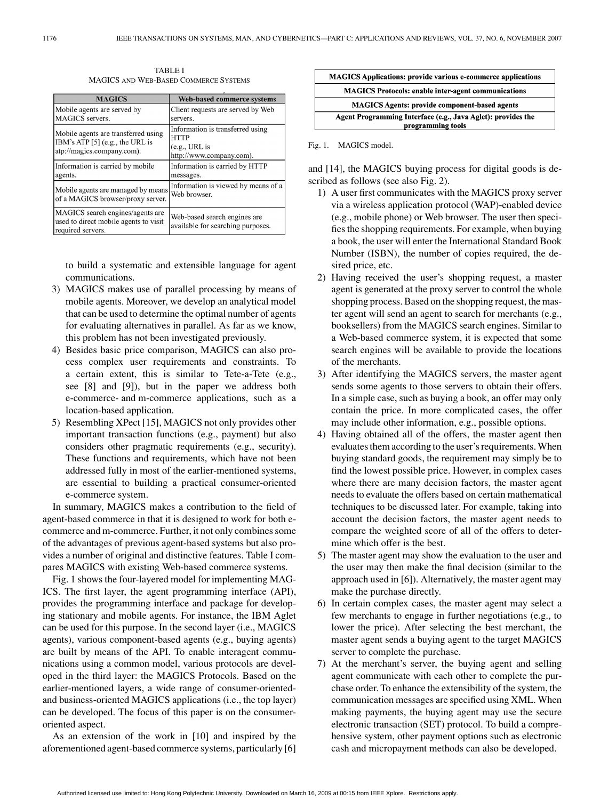TABLE I MAGICS AND WEB-BASED COMMERCE SYSTEMS

| <b>MAGICS</b>                                                                                          | <b>Web-based commerce systems</b>                                                                      |  |  |
|--------------------------------------------------------------------------------------------------------|--------------------------------------------------------------------------------------------------------|--|--|
| Mobile agents are served by<br>MAGICS servers.                                                         | Client requests are served by Web<br>servers.                                                          |  |  |
| Mobile agents are transferred using<br>IBM's ATP $[5]$ (e.g., the URL is<br>atp://magics.company.com). | Information is transferred using<br><b>HTTP</b><br>$(e.g., \text{URL is})$<br>http://www.company.com). |  |  |
| Information is carried by mobile<br>agents.                                                            | Information is carried by HTTP<br>messages.                                                            |  |  |
| Mobile agents are managed by means<br>of a MAGICS browser/proxy server.                                | Information is viewed by means of a<br>Web browser.                                                    |  |  |
| MAGICS search engines/agents are<br>used to direct mobile agents to visit<br>required servers.         | Web-based search engines are<br>available for searching purposes.                                      |  |  |

to build a systematic and extensible language for agent communications.

- 3) MAGICS makes use of parallel processing by means of mobile agents. Moreover, we develop an analytical model that can be used to determine the optimal number of agents for evaluating alternatives in parallel. As far as we know, this problem has not been investigated previously.
- 4) Besides basic price comparison, MAGICS can also process complex user requirements and constraints. To a certain extent, this is similar to Tete-a-Tete (e.g., see [8] and [9]), but in the paper we address both e-commerce- and m-commerce applications, such as a location-based application.
- 5) Resembling XPect [15], MAGICS not only provides other important transaction functions (e.g., payment) but also considers other pragmatic requirements (e.g., security). These functions and requirements, which have not been addressed fully in most of the earlier-mentioned systems, are essential to building a practical consumer-oriented e-commerce system.

In summary, MAGICS makes a contribution to the field of agent-based commerce in that it is designed to work for both ecommerce and m-commerce. Further, it not only combines some of the advantages of previous agent-based systems but also provides a number of original and distinctive features. Table I compares MAGICS with existing Web-based commerce systems.

Fig. 1 shows the four-layered model for implementing MAG-ICS. The first layer, the agent programming interface (API), provides the programming interface and package for developing stationary and mobile agents. For instance, the IBM Aglet can be used for this purpose. In the second layer (i.e., MAGICS agents), various component-based agents (e.g., buying agents) are built by means of the API. To enable interagent communications using a common model, various protocols are developed in the third layer: the MAGICS Protocols. Based on the earlier-mentioned layers, a wide range of consumer-orientedand business-oriented MAGICS applications (i.e., the top layer) can be developed. The focus of this paper is on the consumeroriented aspect.

As an extension of the work in [10] and inspired by the aforementioned agent-based commerce systems, particularly [6]

| <b>MAGICS Applications: provide various e-commerce applications</b>               |
|-----------------------------------------------------------------------------------|
| <b>MAGICS</b> Protocols: enable inter-agent communications                        |
| <b>MAGICS Agents: provide component-based agents</b>                              |
| Agent Programming Interface (e.g., Java Aglet): provides the<br>programming tools |
|                                                                                   |

Fig. 1. MAGICS model.

and [14], the MAGICS buying process for digital goods is described as follows (see also Fig. 2).

- 1) A user first communicates with the MAGICS proxy server via a wireless application protocol (WAP)-enabled device (e.g., mobile phone) or Web browser. The user then specifies the shopping requirements. For example, when buying a book, the user will enter the International Standard Book Number (ISBN), the number of copies required, the desired price, etc.
- 2) Having received the user's shopping request, a master agent is generated at the proxy server to control the whole shopping process. Based on the shopping request, the master agent will send an agent to search for merchants (e.g., booksellers) from the MAGICS search engines. Similar to a Web-based commerce system, it is expected that some search engines will be available to provide the locations of the merchants.
- 3) After identifying the MAGICS servers, the master agent sends some agents to those servers to obtain their offers. In a simple case, such as buying a book, an offer may only contain the price. In more complicated cases, the offer may include other information, e.g., possible options.
- 4) Having obtained all of the offers, the master agent then evaluates them according to the user's requirements. When buying standard goods, the requirement may simply be to find the lowest possible price. However, in complex cases where there are many decision factors, the master agent needs to evaluate the offers based on certain mathematical techniques to be discussed later. For example, taking into account the decision factors, the master agent needs to compare the weighted score of all of the offers to determine which offer is the best.
- 5) The master agent may show the evaluation to the user and the user may then make the final decision (similar to the approach used in [6]). Alternatively, the master agent may make the purchase directly.
- 6) In certain complex cases, the master agent may select a few merchants to engage in further negotiations (e.g., to lower the price). After selecting the best merchant, the master agent sends a buying agent to the target MAGICS server to complete the purchase.
- 7) At the merchant's server, the buying agent and selling agent communicate with each other to complete the purchase order. To enhance the extensibility of the system, the communication messages are specified using XML. When making payments, the buying agent may use the secure electronic transaction (SET) protocol. To build a comprehensive system, other payment options such as electronic cash and micropayment methods can also be developed.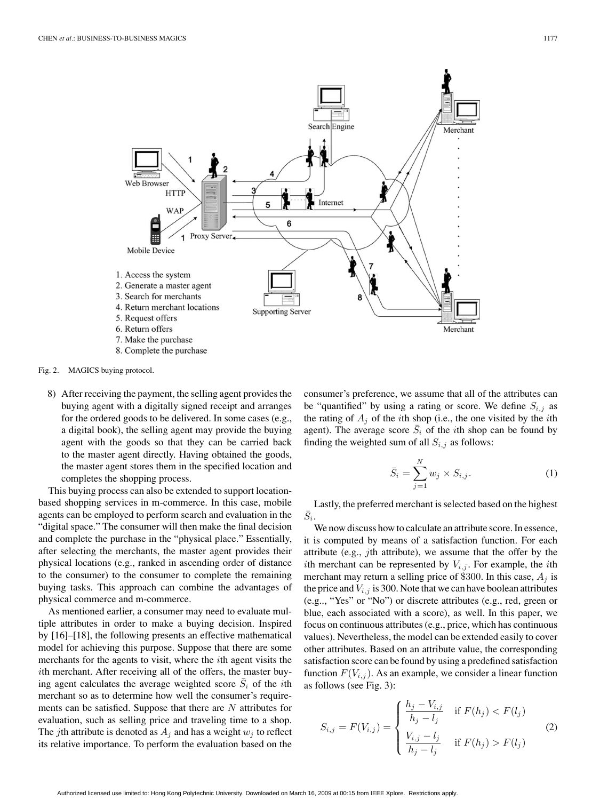

Fig. 2. MAGICS buying protocol.

8) After receiving the payment, the selling agent provides the buying agent with a digitally signed receipt and arranges for the ordered goods to be delivered. In some cases (e.g., a digital book), the selling agent may provide the buying agent with the goods so that they can be carried back to the master agent directly. Having obtained the goods, the master agent stores them in the specified location and completes the shopping process.

This buying process can also be extended to support locationbased shopping services in m-commerce. In this case, mobile agents can be employed to perform search and evaluation in the "digital space." The consumer will then make the final decision and complete the purchase in the "physical place." Essentially, after selecting the merchants, the master agent provides their physical locations (e.g., ranked in ascending order of distance to the consumer) to the consumer to complete the remaining buying tasks. This approach can combine the advantages of physical commerce and m-commerce.

As mentioned earlier, a consumer may need to evaluate multiple attributes in order to make a buying decision. Inspired by [16]–[18], the following presents an effective mathematical model for achieving this purpose. Suppose that there are some merchants for the agents to visit, where the ith agent visits the ith merchant. After receiving all of the offers, the master buying agent calculates the average weighted score  $\overline{S}_i$  of the *i*th merchant so as to determine how well the consumer's requirements can be satisfied. Suppose that there are  $N$  attributes for evaluation, such as selling price and traveling time to a shop. The jth attribute is denoted as  $A_j$  and has a weight  $w_j$  to reflect its relative importance. To perform the evaluation based on the consumer's preference, we assume that all of the attributes can be "quantified" by using a rating or score. We define  $S_{i,j}$  as the rating of  $A_j$  of the *i*th shop (i.e., the one visited by the *i*th agent). The average score  $\overline{S}_i$  of the *i*th shop can be found by finding the weighted sum of all  $S_{i,j}$  as follows:

$$
\bar{S}_i = \sum_{j=1}^N w_j \times S_{i,j}.
$$
 (1)

Lastly, the preferred merchant is selected based on the highest  $\bar{S}_i$ .

We now discuss how to calculate an attribute score. In essence, it is computed by means of a satisfaction function. For each attribute (e.g., jth attribute), we assume that the offer by the ith merchant can be represented by  $V_{i,j}$ . For example, the *i*th merchant may return a selling price of \$300. In this case,  $A_j$  is the price and  $V_{i,j}$  is 300. Note that we can have boolean attributes (e.g.., "Yes" or "No") or discrete attributes (e.g., red, green or blue, each associated with a score), as well. In this paper, we focus on continuous attributes (e.g., price, which has continuous values). Nevertheless, the model can be extended easily to cover other attributes. Based on an attribute value, the corresponding satisfaction score can be found by using a predefined satisfaction function  $F(V_{i,j})$ . As an example, we consider a linear function as follows (see Fig. 3):

$$
S_{i,j} = F(V_{i,j}) = \begin{cases} \frac{h_j - V_{i,j}}{h_j - l_j} & \text{if } F(h_j) < F(l_j) \\ \frac{V_{i,j} - l_j}{h_j - l_j} & \text{if } F(h_j) > F(l_j) \end{cases} \tag{2}
$$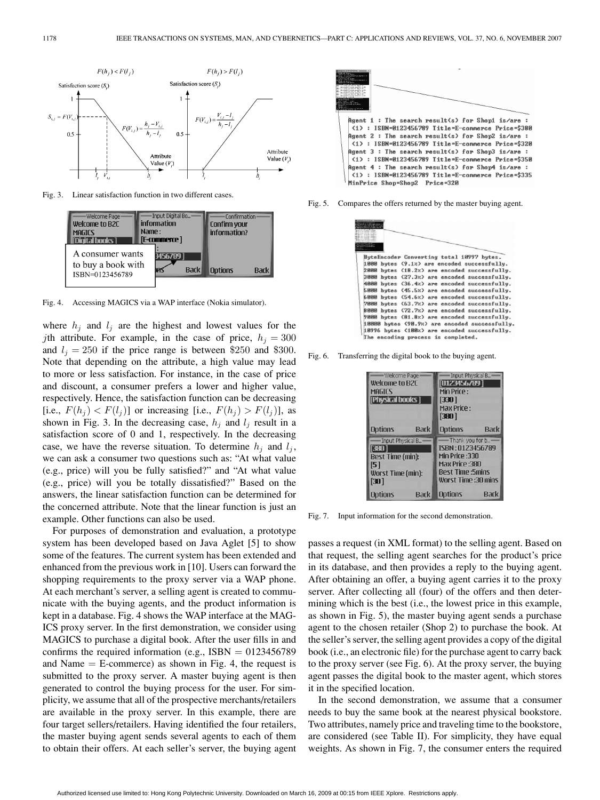

Fig. 3. Linear satisfaction function in two different cases.



Fig. 4. Accessing MAGICS via a WAP interface (Nokia simulator).

where  $h_i$  and  $l_i$  are the highest and lowest values for the *j*th attribute. For example, in the case of price,  $h<sub>j</sub> = 300$ and  $l_j = 250$  if the price range is between \$250 and \$300. Note that depending on the attribute, a high value may lead to more or less satisfaction. For instance, in the case of price and discount, a consumer prefers a lower and higher value, respectively. Hence, the satisfaction function can be decreasing [i.e.,  $F(h_j) < F(l_j)$ ] or increasing [i.e.,  $F(h_j) > F(l_j)$ ], as shown in Fig. 3. In the decreasing case,  $h_i$  and  $l_i$  result in a satisfaction score of 0 and 1, respectively. In the decreasing case, we have the reverse situation. To determine  $h_i$  and  $l_i$ , we can ask a consumer two questions such as: "At what value (e.g., price) will you be fully satisfied?" and "At what value (e.g., price) will you be totally dissatisfied?" Based on the answers, the linear satisfaction function can be determined for the concerned attribute. Note that the linear function is just an example. Other functions can also be used.

For purposes of demonstration and evaluation, a prototype system has been developed based on Java Aglet [5] to show some of the features. The current system has been extended and enhanced from the previous work in [10]. Users can forward the shopping requirements to the proxy server via a WAP phone. At each merchant's server, a selling agent is created to communicate with the buying agents, and the product information is kept in a database. Fig. 4 shows the WAP interface at the MAG-ICS proxy server. In the first demonstration, we consider using MAGICS to purchase a digital book. After the user fills in and confirms the required information (e.g.,  $ISBN = 0123456789$ ) and Name  $=$  E-commerce) as shown in Fig. 4, the request is submitted to the proxy server. A master buying agent is then generated to control the buying process for the user. For simplicity, we assume that all of the prospective merchants/retailers are available in the proxy server. In this example, there are four target sellers/retailers. Having identified the four retailers, the master buying agent sends several agents to each of them to obtain their offers. At each seller's server, the buying agent



Agent 1 : The search result(s) for Shop1 is/are : (1) : ISBN=0123456789 Title=E-commerce Price=\$380 Agent 2 : The search result(s) for Shop2 is/are : (1) : ISBN=0123456789 Title=E-commerce Price=\$320 Agent 3 : The search result(s) for Shop3 is/are : (1) : ISBN=0123456789 Title=E-commerce Price=\$350 Agent 4 : The search result(s) for Shop4 is/are : (1) : ISBN=0123456789 Title=E-commerce Price=\$335 MinPrice Shop=Shop2 Price=320

Fig. 5. Compares the offers returned by the master buying agent.

| 2000 |                       |  |                                                                                                                                                                                                                                                                                                                                                                                                                                                                                                                                                                                            |
|------|-----------------------|--|--------------------------------------------------------------------------------------------------------------------------------------------------------------------------------------------------------------------------------------------------------------------------------------------------------------------------------------------------------------------------------------------------------------------------------------------------------------------------------------------------------------------------------------------------------------------------------------------|
| 3000 |                       |  |                                                                                                                                                                                                                                                                                                                                                                                                                                                                                                                                                                                            |
| 4000 |                       |  |                                                                                                                                                                                                                                                                                                                                                                                                                                                                                                                                                                                            |
|      |                       |  |                                                                                                                                                                                                                                                                                                                                                                                                                                                                                                                                                                                            |
|      |                       |  |                                                                                                                                                                                                                                                                                                                                                                                                                                                                                                                                                                                            |
|      |                       |  |                                                                                                                                                                                                                                                                                                                                                                                                                                                                                                                                                                                            |
| 8000 |                       |  |                                                                                                                                                                                                                                                                                                                                                                                                                                                                                                                                                                                            |
|      |                       |  |                                                                                                                                                                                                                                                                                                                                                                                                                                                                                                                                                                                            |
|      |                       |  |                                                                                                                                                                                                                                                                                                                                                                                                                                                                                                                                                                                            |
|      |                       |  |                                                                                                                                                                                                                                                                                                                                                                                                                                                                                                                                                                                            |
|      | 5000<br>6888<br>18888 |  | ByteEncoder Converting total 10997 bytes.<br>1000 bytes (9.1%) are encoded successfully.<br>bytes (18.2%) are encoded successfully.<br>bytes (27.3%) are encoded successfully.<br>bytes (36.4%) are encoded successfully.<br>hytes (45.5%) are encoded successfully.<br>bytes (54.6%) are encoded successfully.<br>7000 bytes (63.7%) are encoded successfully.<br>bytes (72.7%) are encoded successfully.<br>9000 bytes (81.8%) are encoded successfully.<br>hytes (90.9%) are encoded successfully<br>10996 bytes (100x) are encoded successfully.<br>The encoding process is completed. |

Fig. 6. Transferring the digital book to the buying agent.



Fig. 7. Input information for the second demonstration.

passes a request (in XML format) to the selling agent. Based on that request, the selling agent searches for the product's price in its database, and then provides a reply to the buying agent. After obtaining an offer, a buying agent carries it to the proxy server. After collecting all (four) of the offers and then determining which is the best (i.e., the lowest price in this example, as shown in Fig. 5), the master buying agent sends a purchase agent to the chosen retailer (Shop 2) to purchase the book. At the seller's server, the selling agent provides a copy of the digital book (i.e., an electronic file) for the purchase agent to carry back to the proxy server (see Fig. 6). At the proxy server, the buying agent passes the digital book to the master agent, which stores it in the specified location.

In the second demonstration, we assume that a consumer needs to buy the same book at the nearest physical bookstore. Two attributes, namely price and traveling time to the bookstore, are considered (see Table II). For simplicity, they have equal weights. As shown in Fig. 7, the consumer enters the required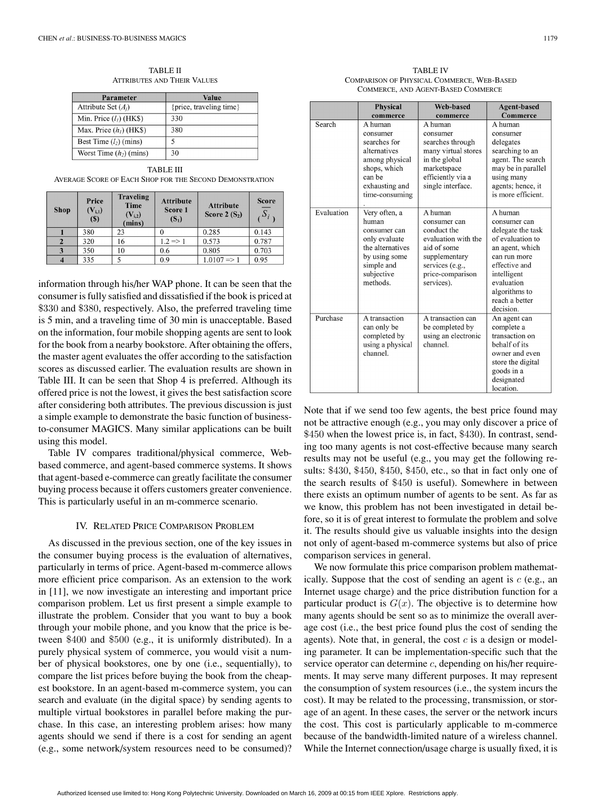TABLE II ATTRIBUTES AND THEIR VALUES

| Parameter                 | Value                   |
|---------------------------|-------------------------|
| Attribute Set $(A_i)$     | {price, traveling time} |
| Min. Price $(ll)$ (HK\$)  | 330                     |
| Max. Price $(hl)$ (HK\$)  | 380                     |
| Best Time $(l_2)$ (mins)  |                         |
| Worst Time $(h_2)$ (mins) | 30                      |

TABLE III AVERAGE SCORE OF EACH SHOP FOR THE SECOND DEMONSTRATION

| <b>Shop</b> | Price<br>$(V_{i,1})$<br>$(\$)$ | <b>Traveling</b><br>Time<br>$(V_{i,2})$<br>(mins) | <b>Attribute</b><br>Score 1<br>$(S_1)$ | <b>Attribute</b><br>Score 2 $(S_2)$ | <b>Score</b><br>$S_i$ |
|-------------|--------------------------------|---------------------------------------------------|----------------------------------------|-------------------------------------|-----------------------|
|             | 380                            | 23                                                |                                        | 0.285                               | 0.143                 |
|             | 320                            | 16                                                | $1.2 \implies 1$                       | 0.573                               | 0.787                 |
| 3           | 350                            | 10                                                | 0.6                                    | 0.805                               | 0.703                 |
|             | 335                            |                                                   | 0.9                                    | $1.0107 \implies 1$                 | 0.95                  |

information through his/her WAP phone. It can be seen that the consumer is fully satisfied and dissatisfied if the book is priced at \$330 and \$380, respectively. Also, the preferred traveling time is 5 min, and a traveling time of 30 min is unacceptable. Based on the information, four mobile shopping agents are sent to look for the book from a nearby bookstore. After obtaining the offers, the master agent evaluates the offer according to the satisfaction scores as discussed earlier. The evaluation results are shown in Table III. It can be seen that Shop 4 is preferred. Although its offered price is not the lowest, it gives the best satisfaction score after considering both attributes. The previous discussion is just a simple example to demonstrate the basic function of businessto-consumer MAGICS. Many similar applications can be built using this model.

Table IV compares traditional/physical commerce, Webbased commerce, and agent-based commerce systems. It shows that agent-based e-commerce can greatly facilitate the consumer buying process because it offers customers greater convenience. This is particularly useful in an m-commerce scenario.

## IV. RELATED PRICE COMPARISON PROBLEM

As discussed in the previous section, one of the key issues in the consumer buying process is the evaluation of alternatives, particularly in terms of price. Agent-based m-commerce allows more efficient price comparison. As an extension to the work in [11], we now investigate an interesting and important price comparison problem. Let us first present a simple example to illustrate the problem. Consider that you want to buy a book through your mobile phone, and you know that the price is between \$400 and \$500 (e.g., it is uniformly distributed). In a purely physical system of commerce, you would visit a number of physical bookstores, one by one (i.e., sequentially), to compare the list prices before buying the book from the cheapest bookstore. In an agent-based m-commerce system, you can search and evaluate (in the digital space) by sending agents to multiple virtual bookstores in parallel before making the purchase. In this case, an interesting problem arises: how many agents should we send if there is a cost for sending an agent (e.g., some network/system resources need to be consumed)?

TABLE IV COMPARISON OF PHYSICAL COMMERCE, WEB-BASED COMMERCE, AND AGENT-BASED COMMERCE

|            | <b>Physical</b>                                                                                                                      | <b>Web-based</b>                                                                                                                                   | <b>Agent-based</b>                                                                                                                                                                                |
|------------|--------------------------------------------------------------------------------------------------------------------------------------|----------------------------------------------------------------------------------------------------------------------------------------------------|---------------------------------------------------------------------------------------------------------------------------------------------------------------------------------------------------|
|            | commerce                                                                                                                             | commerce                                                                                                                                           | <b>Commerce</b>                                                                                                                                                                                   |
| Search     | A human<br>consumer<br>searches for<br>alternatives<br>among physical<br>shops, which<br>can be<br>exhausting and<br>time-consuming  | A human<br>consumer<br>searches through<br>many virtual stores<br>in the global<br>marketspace<br>efficiently via a<br>single interface.           | A human<br>consumer<br>delegates<br>searching to an<br>agent. The search<br>may be in parallel<br>using many<br>agents; hence, it<br>is more efficient.                                           |
| Evaluation | Very often, a<br>human<br>consumer can<br>only evaluate<br>the alternatives<br>by using some<br>simple and<br>subjective<br>methods. | A human<br>consumer can<br>conduct the<br>evaluation with the<br>aid of some<br>supplementary<br>services (e.g.,<br>price-comparison<br>services). | A human<br>consumer can<br>delegate the task<br>of evaluation to<br>an agent, which<br>can run more<br>effective and<br>intelligent<br>evaluation<br>algorithms to<br>reach a better<br>decision. |
| Purchase   | A transaction<br>can only be<br>completed by<br>using a physical<br>channel.                                                         | A transaction can<br>be completed by<br>using an electronic<br>channel.                                                                            | An agent can<br>complete a<br>transaction on<br>behalf of its<br>owner and even<br>store the digital<br>goods in a<br>designated<br>location.                                                     |

Note that if we send too few agents, the best price found may not be attractive enough (e.g., you may only discover a price of \$450 when the lowest price is, in fact, \$430). In contrast, sending too many agents is not cost-effective because many search results may not be useful (e.g., you may get the following results: \$430, \$450, \$450, \$450, etc., so that in fact only one of the search results of \$450 is useful). Somewhere in between there exists an optimum number of agents to be sent. As far as we know, this problem has not been investigated in detail before, so it is of great interest to formulate the problem and solve it. The results should give us valuable insights into the design not only of agent-based m-commerce systems but also of price comparison services in general.

We now formulate this price comparison problem mathematically. Suppose that the cost of sending an agent is  $c$  (e.g., an Internet usage charge) and the price distribution function for a particular product is  $G(x)$ . The objective is to determine how many agents should be sent so as to minimize the overall average cost (i.e., the best price found plus the cost of sending the agents). Note that, in general, the cost  $c$  is a design or modeling parameter. It can be implementation-specific such that the service operator can determine  $c$ , depending on his/her requirements. It may serve many different purposes. It may represent the consumption of system resources (i.e., the system incurs the cost). It may be related to the processing, transmission, or storage of an agent. In these cases, the server or the network incurs the cost. This cost is particularly applicable to m-commerce because of the bandwidth-limited nature of a wireless channel. While the Internet connection/usage charge is usually fixed, it is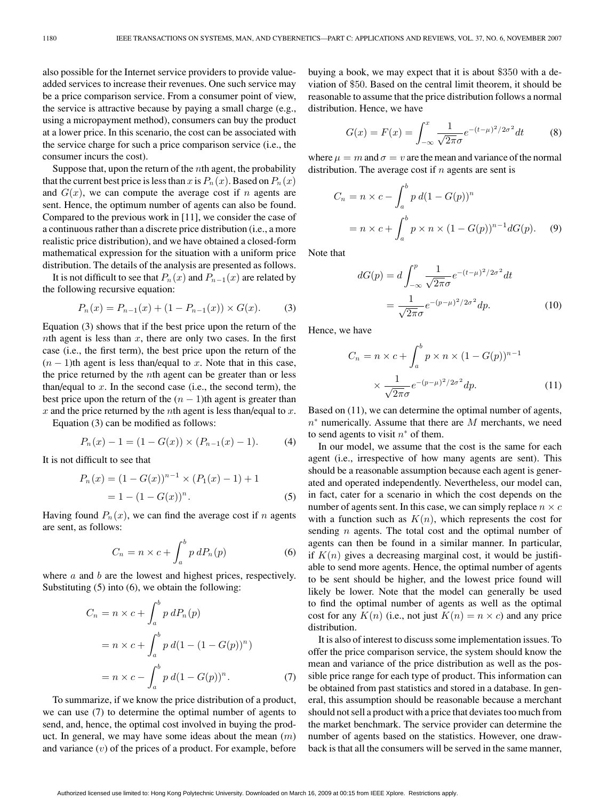also possible for the Internet service providers to provide valueadded services to increase their revenues. One such service may be a price comparison service. From a consumer point of view, the service is attractive because by paying a small charge (e.g., using a micropayment method), consumers can buy the product at a lower price. In this scenario, the cost can be associated with the service charge for such a price comparison service (i.e., the consumer incurs the cost).

Suppose that, upon the return of the nth agent, the probability that the current best price is less than x is  $P_n(x)$ . Based on  $P_n(x)$ and  $G(x)$ , we can compute the average cost if n agents are sent. Hence, the optimum number of agents can also be found. Compared to the previous work in [11], we consider the case of a continuous rather than a discrete price distribution (i.e., a more realistic price distribution), and we have obtained a closed-form mathematical expression for the situation with a uniform price distribution. The details of the analysis are presented as follows.

It is not difficult to see that  $P_n(x)$  and  $P_{n-1}(x)$  are related by the following recursive equation:

$$
P_n(x) = P_{n-1}(x) + (1 - P_{n-1}(x)) \times G(x).
$$
 (3)

Equation (3) shows that if the best price upon the return of the  $n$ th agent is less than  $x$ , there are only two cases. In the first case (i.e., the first term), the best price upon the return of the  $(n - 1)$ th agent is less than/equal to x. Note that in this case, the price returned by the *n*th agent can be greater than or less than/equal to  $x$ . In the second case (i.e., the second term), the best price upon the return of the  $(n - 1)$ th agent is greater than  $x$  and the price returned by the *n*th agent is less than/equal to  $x$ .

Equation (3) can be modified as follows:

$$
P_n(x) - 1 = (1 - G(x)) \times (P_{n-1}(x) - 1). \tag{4}
$$

It is not difficult to see that

$$
P_n(x) = (1 - G(x))^{n-1} \times (P_1(x) - 1) + 1
$$
  
= 1 - (1 - G(x))<sup>n</sup>. (5)

Having found  $P_n(x)$ , we can find the average cost if n agents are sent, as follows:

$$
C_n = n \times c + \int_a^b p \, dP_n(p) \tag{6}
$$

where *a* and *b* are the lowest and highest prices, respectively. Substituting (5) into (6), we obtain the following:

$$
C_n = n \times c + \int_a^b p \, dP_n(p)
$$
  
=  $n \times c + \int_a^b p \, d(1 - (1 - G(p))^n)$   
=  $n \times c - \int_a^b p \, d(1 - G(p))^n$ . (7)

To summarize, if we know the price distribution of a product, we can use (7) to determine the optimal number of agents to send, and, hence, the optimal cost involved in buying the product. In general, we may have some ideas about the mean  $(m)$ and variance  $(v)$  of the prices of a product. For example, before buying a book, we may expect that it is about \$350 with a deviation of \$50. Based on the central limit theorem, it should be reasonable to assume that the price distribution follows a normal distribution. Hence, we have

$$
G(x) = F(x) = \int_{-\infty}^{x} \frac{1}{\sqrt{2\pi}\sigma} e^{-(t-\mu)^2/2\sigma^2} dt
$$
 (8)

where  $\mu = m$  and  $\sigma = v$  are the mean and variance of the normal distribution. The average cost if  $n$  agents are sent is

$$
C_n = n \times c - \int_a^b p \, d(1 - G(p))^n
$$
  
=  $n \times c + \int_a^b p \times n \times (1 - G(p))^{n-1} dG(p).$  (9)

Note that

$$
dG(p) = d \int_{-\infty}^{p} \frac{1}{\sqrt{2\pi}\sigma} e^{-(t-\mu)^2/2\sigma^2} dt
$$
  
= 
$$
\frac{1}{\sqrt{2\pi}\sigma} e^{-(p-\mu)^2/2\sigma^2} dp.
$$
 (10)

Hence, we have

$$
C_n = n \times c + \int_a^b p \times n \times (1 - G(p))^{n-1}
$$

$$
\times \frac{1}{\sqrt{2\pi}\sigma} e^{-(p-\mu)^2/2\sigma^2} dp. \tag{11}
$$

Based on (11), we can determine the optimal number of agents,  $n<sup>*</sup>$  numerically. Assume that there are M merchants, we need to send agents to visit  $n^*$  of them.

In our model, we assume that the cost is the same for each agent (i.e., irrespective of how many agents are sent). This should be a reasonable assumption because each agent is generated and operated independently. Nevertheless, our model can, in fact, cater for a scenario in which the cost depends on the number of agents sent. In this case, we can simply replace  $n \times c$ with a function such as  $K(n)$ , which represents the cost for sending  $n$  agents. The total cost and the optimal number of agents can then be found in a similar manner. In particular, if  $K(n)$  gives a decreasing marginal cost, it would be justifiable to send more agents. Hence, the optimal number of agents to be sent should be higher, and the lowest price found will likely be lower. Note that the model can generally be used to find the optimal number of agents as well as the optimal cost for any  $K(n)$  (i.e., not just  $K(n) = n \times c$ ) and any price distribution.

It is also of interest to discuss some implementation issues. To offer the price comparison service, the system should know the mean and variance of the price distribution as well as the possible price range for each type of product. This information can be obtained from past statistics and stored in a database. In general, this assumption should be reasonable because a merchant should not sell a product with a price that deviates too much from the market benchmark. The service provider can determine the number of agents based on the statistics. However, one drawback is that all the consumers will be served in the same manner,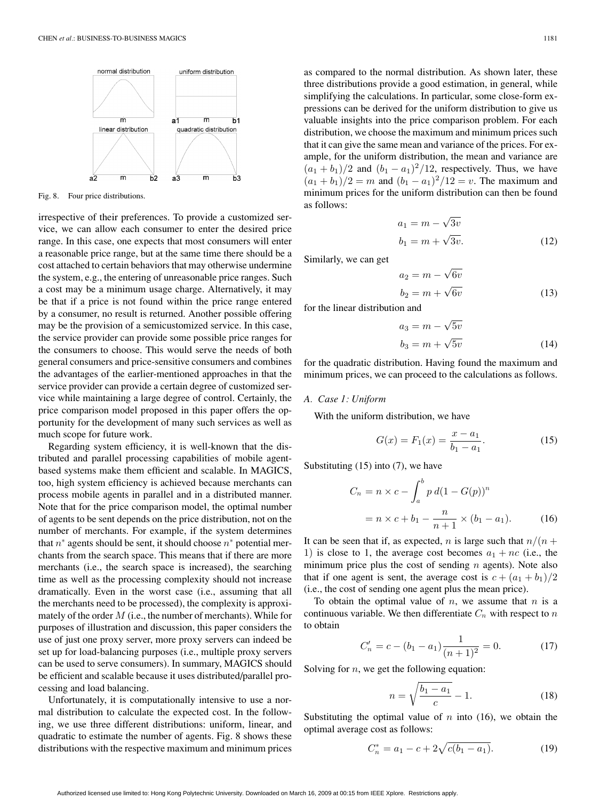

Fig. 8. Four price distributions.

irrespective of their preferences. To provide a customized service, we can allow each consumer to enter the desired price range. In this case, one expects that most consumers will enter a reasonable price range, but at the same time there should be a cost attached to certain behaviors that may otherwise undermine the system, e.g., the entering of unreasonable price ranges. Such a cost may be a minimum usage charge. Alternatively, it may be that if a price is not found within the price range entered by a consumer, no result is returned. Another possible offering may be the provision of a semicustomized service. In this case, the service provider can provide some possible price ranges for the consumers to choose. This would serve the needs of both general consumers and price-sensitive consumers and combines the advantages of the earlier-mentioned approaches in that the service provider can provide a certain degree of customized service while maintaining a large degree of control. Certainly, the price comparison model proposed in this paper offers the opportunity for the development of many such services as well as much scope for future work.

Regarding system efficiency, it is well-known that the distributed and parallel processing capabilities of mobile agentbased systems make them efficient and scalable. In MAGICS, too, high system efficiency is achieved because merchants can process mobile agents in parallel and in a distributed manner. Note that for the price comparison model, the optimal number of agents to be sent depends on the price distribution, not on the number of merchants. For example, if the system determines that  $n^*$  agents should be sent, it should choose  $n^*$  potential merchants from the search space. This means that if there are more merchants (i.e., the search space is increased), the searching time as well as the processing complexity should not increase dramatically. Even in the worst case (i.e., assuming that all the merchants need to be processed), the complexity is approximately of the order  $M$  (i.e., the number of merchants). While for purposes of illustration and discussion, this paper considers the use of just one proxy server, more proxy servers can indeed be set up for load-balancing purposes (i.e., multiple proxy servers can be used to serve consumers). In summary, MAGICS should be efficient and scalable because it uses distributed/parallel processing and load balancing.

Unfortunately, it is computationally intensive to use a normal distribution to calculate the expected cost. In the following, we use three different distributions: uniform, linear, and quadratic to estimate the number of agents. Fig. 8 shows these distributions with the respective maximum and minimum prices

as compared to the normal distribution. As shown later, these three distributions provide a good estimation, in general, while simplifying the calculations. In particular, some close-form expressions can be derived for the uniform distribution to give us valuable insights into the price comparison problem. For each distribution, we choose the maximum and minimum prices such that it can give the same mean and variance of the prices. For example, for the uniform distribution, the mean and variance are  $(a_1 + b_1)/2$  and  $(b_1 - a_1)^2/12$ , respectively. Thus, we have  $(a_1 + b_1)/2 = m$  and  $(b_1 - a_1)^2/12 = v$ . The maximum and minimum prices for the uniform distribution can then be found as follows:

$$
a_1 = m - \sqrt{3v}
$$
  

$$
b_1 = m + \sqrt{3v}.
$$
 (12)

Similarly, we can get

$$
a_2 = m - \sqrt{6v}
$$
  

$$
b_2 = m + \sqrt{6v}
$$
 (13)

for the linear distribution and

$$
a_3 = m - \sqrt{5v}
$$
  

$$
b_3 = m + \sqrt{5v}
$$
 (14)

for the quadratic distribution. Having found the maximum and minimum prices, we can proceed to the calculations as follows.

#### *A. Case 1: Uniform*

With the uniform distribution, we have

$$
G(x) = F_1(x) = \frac{x - a_1}{b_1 - a_1}.
$$
 (15)

Substituting  $(15)$  into  $(7)$ , we have

$$
C_n = n \times c - \int_a^b p \, d(1 - G(p))^n
$$
  
=  $n \times c + b_1 - \frac{n}{n+1} \times (b_1 - a_1).$  (16)

It can be seen that if, as expected, n is large such that  $n/(n +$ 1) is close to 1, the average cost becomes  $a_1 + nc$  (i.e., the minimum price plus the cost of sending  $n$  agents). Note also that if one agent is sent, the average cost is  $c + (a_1 + b_1)/2$ (i.e., the cost of sending one agent plus the mean price).

To obtain the optimal value of  $n$ , we assume that  $n$  is a continuous variable. We then differentiate  $C_n$  with respect to n to obtain

$$
C'_{n} = c - (b_{1} - a_{1}) \frac{1}{(n+1)^{2}} = 0.
$$
 (17)

Solving for  $n$ , we get the following equation:

$$
n = \sqrt{\frac{b_1 - a_1}{c}} - 1.
$$
 (18)

Substituting the optimal value of  $n$  into (16), we obtain the optimal average cost as follows:

$$
C_n^* = a_1 - c + 2\sqrt{c(b_1 - a_1)}.
$$
 (19)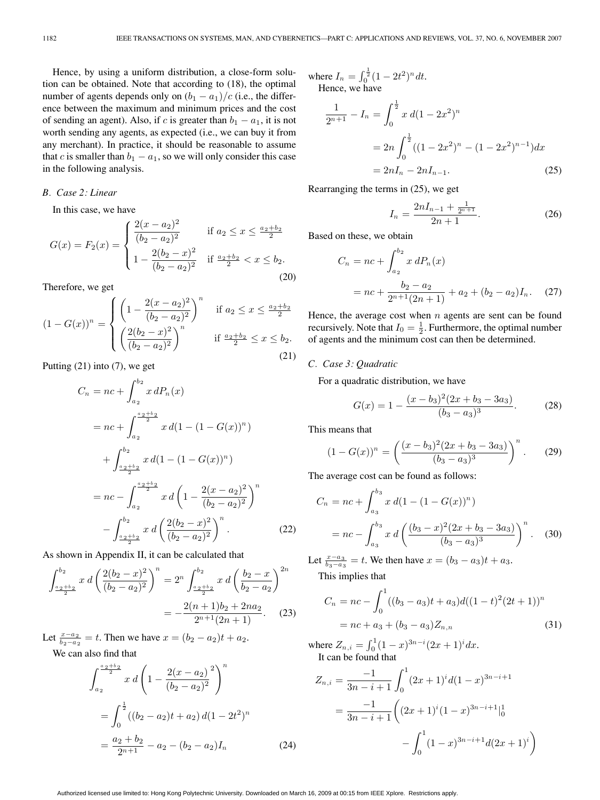Hence, by using a uniform distribution, a close-form solution can be obtained. Note that according to (18), the optimal number of agents depends only on  $(b_1 - a_1)/c$  (i.e., the difference between the maximum and minimum prices and the cost of sending an agent). Also, if c is greater than  $b_1 - a_1$ , it is not worth sending any agents, as expected (i.e., we can buy it from any merchant). In practice, it should be reasonable to assume that c is smaller than  $b_1 - a_1$ , so we will only consider this case in the following analysis.

## *B. Case 2: Linear*

In this case, we have

$$
G(x) = F_2(x) = \begin{cases} \frac{2(x - a_2)^2}{(b_2 - a_2)^2} & \text{if } a_2 \le x \le \frac{a_2 + b_2}{2} \\ 1 - \frac{2(b_2 - x)^2}{(b_2 - a_2)^2} & \text{if } \frac{a_2 + b_2}{2} < x \le b_2. \end{cases}
$$
(20)

Therefore, we get

$$
(1 - G(x))^n = \begin{cases} \left(1 - \frac{2(x - a_2)^2}{(b_2 - a_2)^2}\right)^n & \text{if } a_2 \le x \le \frac{a_2 + b_2}{2} \\ \left(\frac{2(b_2 - x)^2}{(b_2 - a_2)^2}\right)^n & \text{if } \frac{a_2 + b_2}{2} \le x \le b_2. \end{cases}
$$
\n
$$
(21)
$$

Putting (21) into (7), we get

$$
C_n = nc + \int_{a_2}^{b_2} x \, dP_n(x)
$$
  
=  $nc + \int_{a_2}^{a_2 + b_2} x \, d(1 - (1 - G(x))^n)$   
+  $\int_{a_2 + b_2}^{b_2} x \, d(1 - (1 - G(x))^n)$   
=  $nc - \int_{a_2}^{a_2 + b_2} x \, d\left(1 - \frac{2(x - a_2)^2}{(b_2 - a_2)^2}\right)^n$   
-  $\int_{a_2 + b_2}^{b_2} x \, d\left(\frac{2(b_2 - x)^2}{(b_2 - a_2)^2}\right)^n$ . (22)

As shown in Appendix II, it can be calculated that

$$
\int_{\frac{a_2+b_2}{2}}^{b_2} x \, d\left(\frac{2(b_2-x)^2}{(b_2-a_2)^2}\right)^n = 2^n \int_{\frac{a_2+b_2}{2}}^{b_2} x \, d\left(\frac{b_2-x}{b_2-a_2}\right)^{2n}
$$

$$
= -\frac{2(n+1)b_2+2na_2}{2^{n+1}(2n+1)}.
$$
 (23)

Let  $\frac{x-a_2}{b_2-a_2} = t$ . Then we have  $x = (b_2 - a_2)t + a_2$ . We can also find that

$$
\int_{a_2}^{\frac{a_2+b_2}{2}} x \, d\left(1 - \frac{2(x - a_2)^2}{(b_2 - a_2)^2}\right)^n
$$

$$
= \int_0^{\frac{1}{2}} ((b_2 - a_2)t + a_2) \, d(1 - 2t^2)^n
$$

$$
= \frac{a_2 + b_2}{2^{n+1}} - a_2 - (b_2 - a_2)I_n \tag{24}
$$

where 
$$
I_n = \int_0^{\frac{1}{2}} (1 - 2t^2)^n dt
$$
.  
Hence, we have

$$
\frac{1}{2^{n+1}} - I_n = \int_0^{\frac{1}{2}} x \, d(1 - 2x^2)^n
$$

$$
= 2n \int_0^{\frac{1}{2}} ((1 - 2x^2)^n - (1 - 2x^2)^{n-1}) dx
$$

$$
= 2nI_n - 2nI_{n-1}.
$$
 (25)

Rearranging the terms in (25), we get

$$
I_n = \frac{2nI_{n-1} + \frac{1}{2^{n+1}}}{2n+1}.
$$
\n(26)

Based on these, we obtain

$$
C_n = nc + \int_{a_2}^{b_2} x \, dP_n(x)
$$
  
=  $nc + \frac{b_2 - a_2}{2^{n+1}(2n+1)} + a_2 + (b_2 - a_2)I_n.$  (27)

Hence, the average cost when  $n$  agents are sent can be found recursively. Note that  $I_0 = \frac{1}{2}$ . Furthermore, the optimal number of agents and the minimum cost can then be determined.

## *C. Case 3: Quadratic*

For a quadratic distribution, we have

$$
G(x) = 1 - \frac{(x - b_3)^2 (2x + b_3 - 3a_3)}{(b_3 - a_3)^3}.
$$
 (28)

This means that

$$
(1 - G(x))^n = \left(\frac{(x - b_3)^2 (2x + b_3 - 3a_3)}{(b_3 - a_3)^3}\right)^n.
$$
 (29)

The average cost can be found as follows:

$$
C_n = nc + \int_{a_3}^{b_3} x \, d(1 - (1 - G(x))^n)
$$
  
=  $nc - \int_{a_3}^{b_3} x \, d\left(\frac{(b_3 - x)^2 (2x + b_3 - 3a_3)}{(b_3 - a_3)^3}\right)^n$ . (30)

Let  $\frac{x-a_3}{b_3-a_3} = t$ . We then have  $x = (b_3 - a_3)t + a_3$ .

This implies that

$$
C_n = nc - \int_0^1 ((b_3 - a_3)t + a_3)d((1 - t)^2(2t + 1))^n
$$
  
= nc + a<sub>3</sub> + (b<sub>3</sub> - a<sub>3</sub>)Z<sub>n,n</sub> (31)

where  $Z_{n,i} = \int_0^1 (1-x)^{3n-i} (2x+1)^i dx$ . It can be found that

$$
Z_{n,i} = \frac{-1}{3n - i + 1} \int_0^1 (2x + 1)^i d(1 - x)^{3n - i + 1}
$$
  
= 
$$
\frac{-1}{3n - i + 1} \left( (2x + 1)^i (1 - x)^{3n - i + 1} \Big|_0^1
$$
  
- 
$$
\int_0^1 (1 - x)^{3n - i + 1} d(2x + 1)^i \right)
$$

Authorized licensed use limited to: Hong Kong Polytechnic University. Downloaded on March 16, 2009 at 00:15 from IEEE Xplore. Restrictions apply.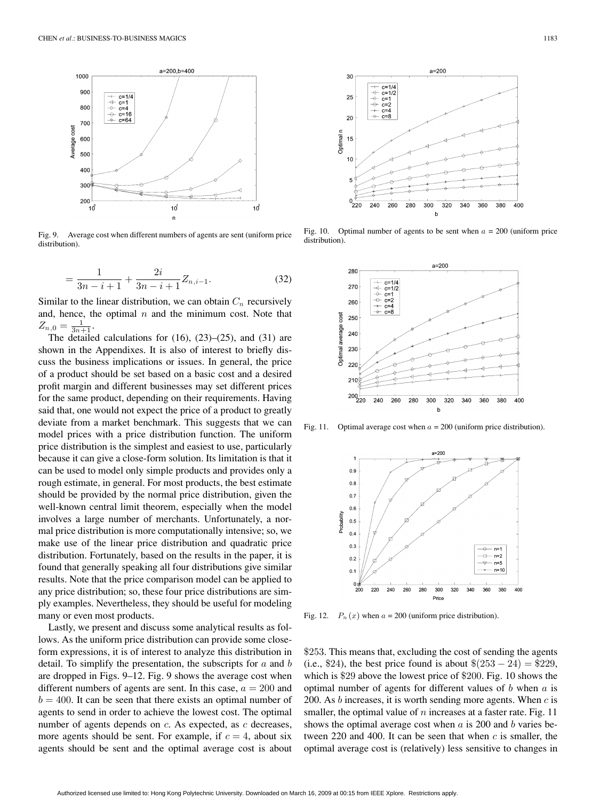

Fig. 9. Average cost when different numbers of agents are sent (uniform price distribution).

$$
=\frac{1}{3n-i+1}+\frac{2i}{3n-i+1}Z_{n,i-1}.
$$
\n(32)

Similar to the linear distribution, we can obtain  $C_n$  recursively and, hence, the optimal  $n$  and the minimum cost. Note that  $Z_{n,0} = \frac{1}{3n+1}.$ 

The detailed calculations for  $(16)$ ,  $(23)$ – $(25)$ , and  $(31)$  are shown in the Appendixes. It is also of interest to briefly discuss the business implications or issues. In general, the price of a product should be set based on a basic cost and a desired profit margin and different businesses may set different prices for the same product, depending on their requirements. Having said that, one would not expect the price of a product to greatly deviate from a market benchmark. This suggests that we can model prices with a price distribution function. The uniform price distribution is the simplest and easiest to use, particularly because it can give a close-form solution. Its limitation is that it can be used to model only simple products and provides only a rough estimate, in general. For most products, the best estimate should be provided by the normal price distribution, given the well-known central limit theorem, especially when the model involves a large number of merchants. Unfortunately, a normal price distribution is more computationally intensive; so, we make use of the linear price distribution and quadratic price distribution. Fortunately, based on the results in the paper, it is found that generally speaking all four distributions give similar results. Note that the price comparison model can be applied to any price distribution; so, these four price distributions are simply examples. Nevertheless, they should be useful for modeling many or even most products.

Lastly, we present and discuss some analytical results as follows. As the uniform price distribution can provide some closeform expressions, it is of interest to analyze this distribution in detail. To simplify the presentation, the subscripts for  $a$  and  $b$ are dropped in Figs. 9–12. Fig. 9 shows the average cost when different numbers of agents are sent. In this case,  $a = 200$  and  $b = 400$ . It can be seen that there exists an optimal number of agents to send in order to achieve the lowest cost. The optimal number of agents depends on  $c$ . As expected, as  $c$  decreases, more agents should be sent. For example, if  $c = 4$ , about six agents should be sent and the optimal average cost is about



Fig. 10. Optimal number of agents to be sent when  $a = 200$  (uniform price distribution).



Fig. 11. Optimal average cost when  $a = 200$  (uniform price distribution).



Fig. 12.  $P_n(x)$  when  $a = 200$  (uniform price distribution).

\$253. This means that, excluding the cost of sending the agents (i.e., \$24), the best price found is about  $$(253 - 24) = $229$ , which is \$29 above the lowest price of \$200. Fig. 10 shows the optimal number of agents for different values of  $b$  when  $a$  is 200. As  $b$  increases, it is worth sending more agents. When  $c$  is smaller, the optimal value of  $n$  increases at a faster rate. Fig. 11 shows the optimal average cost when  $a$  is 200 and  $b$  varies between 220 and 400. It can be seen that when  $c$  is smaller, the optimal average cost is (relatively) less sensitive to changes in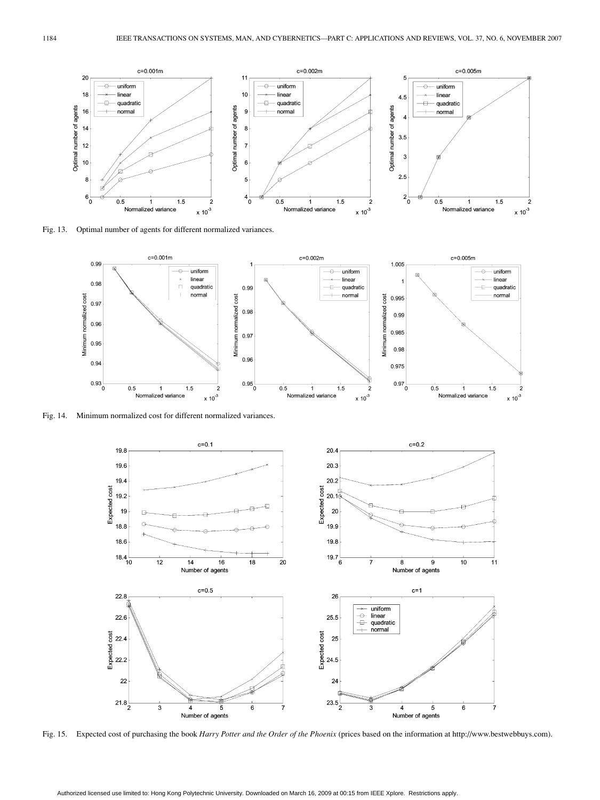

Fig. 13. Optimal number of agents for different normalized variances.



Fig. 14. Minimum normalized cost for different normalized variances.



Fig. 15. Expected cost of purchasing the book *Harry Potter and the Order of the Phoenix* (prices based on the information at http://www.bestwebbuys.com).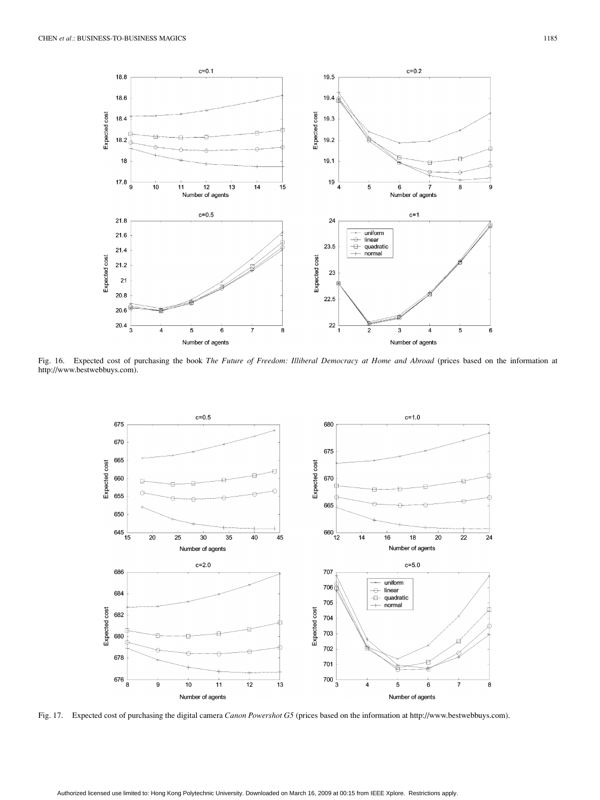

Fig. 16. Expected cost of purchasing the book *The Future of Freedom: Illiberal Democracy at Home and Abroad* (prices based on the information at http://www.bestwebbuys.com).



Fig. 17. Expected cost of purchasing the digital camera *Canon Powershot G5* (prices based on the information at http://www.bestwebbuys.com).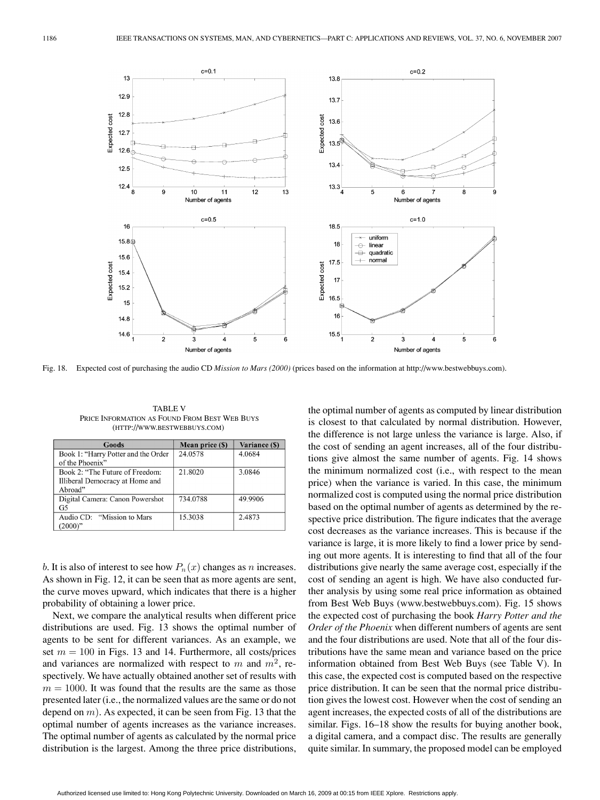

Fig. 18. Expected cost of purchasing the audio CD *Mission to Mars (2000)* (prices based on the information at http://www.bestwebbuys.com).

TABLE V PRICE INFORMATION AS FOUND FROM BEST WEB BUYS (HTTP://WWW.BESTWEBBUYS.COM)

| Goods                               | Mean price (\$) | Variance (\$) |
|-------------------------------------|-----------------|---------------|
| Book 1: "Harry Potter and the Order | 24.0578         | 4.0684        |
| of the Phoenix"                     |                 |               |
| Book 2: "The Future of Freedom:     | 21.8020         | 3.0846        |
| Illiberal Democracy at Home and     |                 |               |
| Abroad"                             |                 |               |
| Digital Camera: Canon Powershot     | 734.0788        | 49.9906       |
| G5                                  |                 |               |
| Audio CD: "Mission to Mars          | 15.3038         | 2.4873        |
| $(2000)$ "                          |                 |               |

b. It is also of interest to see how  $P_n(x)$  changes as n increases. As shown in Fig. 12, it can be seen that as more agents are sent, the curve moves upward, which indicates that there is a higher probability of obtaining a lower price.

Next, we compare the analytical results when different price distributions are used. Fig. 13 shows the optimal number of agents to be sent for different variances. As an example, we set  $m = 100$  in Figs. 13 and 14. Furthermore, all costs/prices and variances are normalized with respect to m and  $m^2$ , respectively. We have actually obtained another set of results with  $m = 1000$ . It was found that the results are the same as those presented later (i.e., the normalized values are the same or do not depend on  $m$ ). As expected, it can be seen from Fig. 13 that the optimal number of agents increases as the variance increases. The optimal number of agents as calculated by the normal price distribution is the largest. Among the three price distributions,

the optimal number of agents as computed by linear distribution is closest to that calculated by normal distribution. However, the difference is not large unless the variance is large. Also, if the cost of sending an agent increases, all of the four distributions give almost the same number of agents. Fig. 14 shows the minimum normalized cost (i.e., with respect to the mean price) when the variance is varied. In this case, the minimum normalized cost is computed using the normal price distribution based on the optimal number of agents as determined by the respective price distribution. The figure indicates that the average cost decreases as the variance increases. This is because if the variance is large, it is more likely to find a lower price by sending out more agents. It is interesting to find that all of the four distributions give nearly the same average cost, especially if the cost of sending an agent is high. We have also conducted further analysis by using some real price information as obtained from Best Web Buys (www.bestwebbuys.com). Fig. 15 shows the expected cost of purchasing the book *Harry Potter and the Order of the Phoenix* when different numbers of agents are sent and the four distributions are used. Note that all of the four distributions have the same mean and variance based on the price information obtained from Best Web Buys (see Table V). In this case, the expected cost is computed based on the respective price distribution. It can be seen that the normal price distribution gives the lowest cost. However when the cost of sending an agent increases, the expected costs of all of the distributions are similar. Figs. 16–18 show the results for buying another book, a digital camera, and a compact disc. The results are generally quite similar. In summary, the proposed model can be employed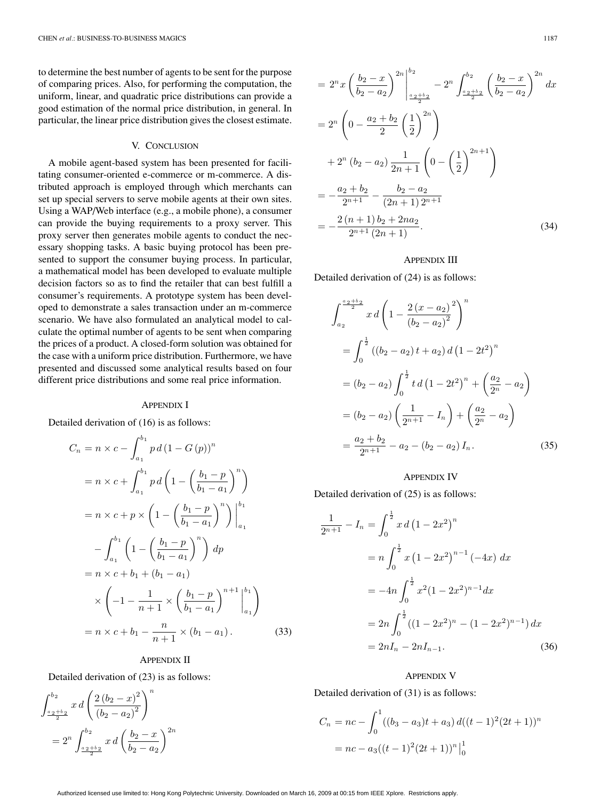to determine the best number of agents to be sent for the purpose of comparing prices. Also, for performing the computation, the uniform, linear, and quadratic price distributions can provide a good estimation of the normal price distribution, in general. In particular, the linear price distribution gives the closest estimate.

## V. CONCLUSION

A mobile agent-based system has been presented for facilitating consumer-oriented e-commerce or m-commerce. A distributed approach is employed through which merchants can set up special servers to serve mobile agents at their own sites. Using a WAP/Web interface (e.g., a mobile phone), a consumer can provide the buying requirements to a proxy server. This proxy server then generates mobile agents to conduct the necessary shopping tasks. A basic buying protocol has been presented to support the consumer buying process. In particular, a mathematical model has been developed to evaluate multiple decision factors so as to find the retailer that can best fulfill a consumer's requirements. A prototype system has been developed to demonstrate a sales transaction under an m-commerce scenario. We have also formulated an analytical model to calculate the optimal number of agents to be sent when comparing the prices of a product. A closed-form solution was obtained for the case with a uniform price distribution. Furthermore, we have presented and discussed some analytical results based on four different price distributions and some real price information.

## APPENDIX I

Detailed derivation of (16) is as follows:

$$
C_n = n \times c - \int_{a_1}^{b_1} p d (1 - G (p))^n
$$
  
=  $n \times c + \int_{a_1}^{b_1} p d \left( 1 - \left( \frac{b_1 - p}{b_1 - a_1} \right)^n \right)$   
=  $n \times c + p \times \left( 1 - \left( \frac{b_1 - p}{b_1 - a_1} \right)^n \right) \Big|_{a_1}^{b_1}$   
 $- \int_{a_1}^{b_1} \left( 1 - \left( \frac{b_1 - p}{b_1 - a_1} \right)^n \right) dp$   
=  $n \times c + b_1 + (b_1 - a_1)$   
 $\times \left( -1 - \frac{1}{n+1} \times \left( \frac{b_1 - p}{b_1 - a_1} \right)^{n+1} \Big|_{a_1}^{b_1} \right)$   
=  $n \times c + b_1 - \frac{n}{n+1} \times (b_1 - a_1).$  (33)

#### APPENDIX II

Detailed derivation of (23) is as follows:

 $\int^{b_2}$  $\frac{a\,2+b\,2}{2}$  $x d \left( \frac{2 (b_2 - x)^2}{a} \right)$  $(b_2 - a_2)^2$  $\setminus^n$  $= 2^n \int_0^{b_2}$  $\frac{a_2+b_2}{2}$  $x d \left( \frac{b_2 - x}{b_2 - x} \right)$  $b_2 - a_2$  $\setminus^{2n}$ 

$$
= 2^{n} x \left(\frac{b_{2} - x}{b_{2} - a_{2}}\right)^{2n} \Big|_{\frac{a_{2} + b_{2}}{2}}^{b_{2}} - 2^{n} \int_{\frac{a_{2} + b_{2}}{2}}^{b_{2}} \left(\frac{b_{2} - x}{b_{2} - a_{2}}\right)^{2n} dx
$$

$$
= 2^{n} \left(0 - \frac{a_{2} + b_{2}}{2}\left(\frac{1}{2}\right)^{2n}\right)
$$

$$
+ 2^{n} (b_{2} - a_{2}) \frac{1}{2n + 1} \left(0 - \left(\frac{1}{2}\right)^{2n + 1}\right)
$$

$$
= -\frac{a_{2} + b_{2}}{2^{n + 1}} - \frac{b_{2} - a_{2}}{(2n + 1)2^{n + 1}}
$$

$$
= -\frac{2 (n + 1) b_{2} + 2na_{2}}{2^{n + 1} (2n + 1)}.
$$
(34)

#### APPENDIX III

Detailed derivation of (24) is as follows:

$$
\int_{a_2}^{\frac{a_2+b_2}{2}} x \, d\left(1 - \frac{2(x - a_2)^2}{(b_2 - a_2)^2}\right)^n
$$
  
= 
$$
\int_0^{\frac{1}{2}} ((b_2 - a_2)t + a_2) \, d\left(1 - 2t^2\right)^n
$$
  
= 
$$
(b_2 - a_2) \int_0^{\frac{1}{2}} t \, d\left(1 - 2t^2\right)^n + \left(\frac{a_2}{2^n} - a_2\right)
$$
  
= 
$$
(b_2 - a_2) \left(\frac{1}{2^{n+1}} - I_n\right) + \left(\frac{a_2}{2^n} - a_2\right)
$$
  
= 
$$
\frac{a_2 + b_2}{2^{n+1}} - a_2 - (b_2 - a_2) I_n.
$$
 (35)

## APPENDIX IV

Detailed derivation of (25) is as follows:

$$
\frac{1}{2^{n+1}} - I_n = \int_0^{\frac{1}{2}} x \, d \left( 1 - 2x^2 \right)^n
$$
  
=  $n \int_0^{\frac{1}{2}} x \left( 1 - 2x^2 \right)^{n-1} (-4x) \, dx$   
=  $-4n \int_0^{\frac{1}{2}} x^2 (1 - 2x^2)^{n-1} dx$   
=  $2n \int_0^{\frac{1}{2}} ((1 - 2x^2)^n - (1 - 2x^2)^{n-1}) \, dx$   
=  $2n I_n - 2n I_{n-1}$ . (36)

#### APPENDIX V

Detailed derivation of (31) is as follows:

$$
C_n = nc - \int_0^1 ((b_3 - a_3)t + a_3) d((t - 1)^2 (2t + 1))^n
$$
  
= nc - a<sub>3</sub>((t - 1)<sup>2</sup>(2t + 1))<sup>n</sup>|<sub>0</sub><sup>1</sup>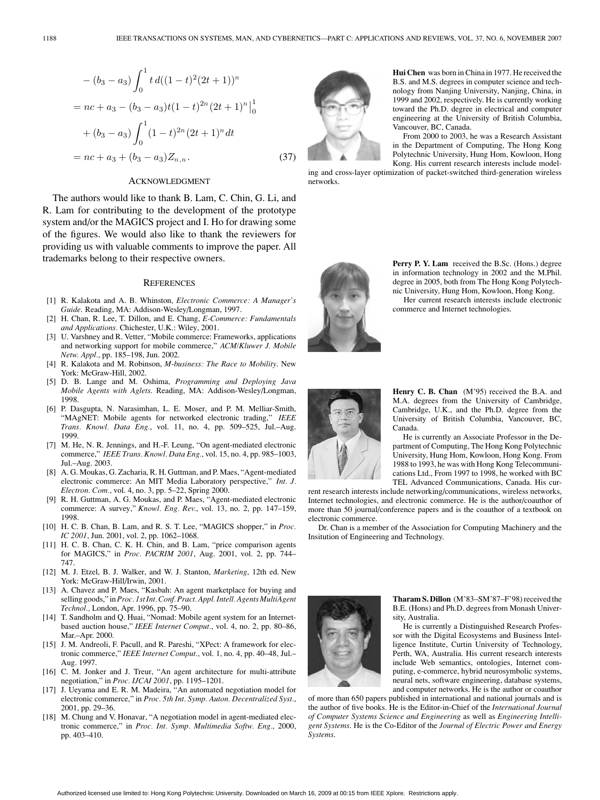$$
-(b_3 - a_3) \int_0^1 t \, d((1 - t)^2 (2t + 1))^n
$$
  
=  $nc + a_3 - (b_3 - a_3) t (1 - t)^{2n} (2t + 1)^n \Big|_0^1$   
+  $(b_3 - a_3) \int_0^1 (1 - t)^{2n} (2t + 1)^n dt$   
=  $nc + a_3 + (b_3 - a_3) Z_{n,n}$ . (37)

#### ACKNOWLEDGMENT

The authors would like to thank B. Lam, C. Chin, G. Li, and R. Lam for contributing to the development of the prototype system and/or the MAGICS project and I. Ho for drawing some of the figures. We would also like to thank the reviewers for providing us with valuable comments to improve the paper. All trademarks belong to their respective owners.

#### **REFERENCES**

- [1] R. Kalakota and A. B. Whinston, *Electronic Commerce: A Manager's Guide*. Reading, MA: Addison-Wesley/Longman, 1997.
- [2] H. Chan, R. Lee, T. Dillon, and E. Chang, *E-Commerce: Fundamentals and Applications.* Chichester, U.K.: Wiley, 2001.
- [3] U. Varshney and R. Vetter, "Mobile commerce: Frameworks, applications and networking support for mobile commerce," *ACM/Kluwer J. Mobile Netw. Appl.*, pp. 185–198, Jun. 2002.
- [4] R. Kalakota and M. Robinson, *M-business: The Race to Mobility*. New York: McGraw-Hill, 2002.
- [5] D. B. Lange and M. Oshima, *Programming and Deploying Java Mobile Agents with Aglets*. Reading, MA: Addison-Wesley/Longman, 1998.
- [6] P. Dasgupta, N. Narasimhan, L. E. Moser, and P. M. Melliar-Smith, "MAgNET: Mobile agents for networked electronic trading," *IEEE Trans. Knowl. Data Eng.*, vol. 11, no. 4, pp. 509–525, Jul.–Aug. 1999.
- [7] M. He, N. R. Jennings, and H.-F. Leung, "On agent-mediated electronic commerce," *IEEE Trans. Knowl. Data Eng.*, vol. 15, no. 4, pp. 985–1003, Jul.–Aug. 2003.
- [8] A. G. Moukas, G. Zacharia, R. H. Guttman, and P. Maes, "Agent-mediated electronic commerce: An MIT Media Laboratory perspective," *Int. J. Electron. Com.*, vol. 4, no. 3, pp. 5–22, Spring 2000.
- [9] R. H. Guttman, A. G. Moukas, and P. Maes, "Agent-mediated electronic commerce: A survey," *Knowl. Eng. Rev.*, vol. 13, no. 2, pp. 147–159, 1998.
- [10] H. C. B. Chan, B. Lam, and R. S. T. Lee, "MAGICS shopper," in *Proc. IC 2001*, Jun. 2001, vol. 2, pp. 1062–1068.
- [11] H. C. B. Chan, C. K. H. Chin, and B. Lam, "price comparison agents for MAGICS," in *Proc. PACRIM 2001*, Aug. 2001, vol. 2, pp. 744– 747.
- [12] M. J. Etzel, B. J. Walker, and W. J. Stanton, *Marketing*, 12th ed. New York: McGraw-Hill/Irwin, 2001.
- [13] A. Chavez and P. Maes, "Kasbah: An agent marketplace for buying and selling goods," in*Proc. 1st Int. Conf. Pract. Appl. Intell. Agents MultiAgent Technol.,* London, Apr. 1996, pp. 75–90.
- [14] T. Sandholm and Q. Huai, "Nomad: Mobile agent system for an Internetbased auction house," *IEEE Internet Comput.*, vol. 4, no. 2, pp. 80–86, Mar.–Apr. 2000.
- [15] J. M. Andreoli, F. Pacull, and R. Pareshi, "XPect: A framework for electronic commerce," *IEEE Internet Comput.*, vol. 1, no. 4, pp. 40–48, Jul.– Aug. 1997.
- [16] C. M. Jonker and J. Treur, "An agent architecture for multi-attribute negotiation," in *Proc. IJCAI 2001*, pp. 1195–1201.
- [17] J. Ueyama and E. R. M. Madeira, "An automated negotiation model for electronic commerce," in *Proc. 5th Int. Symp. Auton. Decentralized Syst.*, 2001, pp. 29–36.
- [18] M. Chung and V. Honavar, "A negotiation model in agent-mediated electronic commerce," in *Proc. Int. Symp. Multimedia Softw. Eng.*, 2000, pp. 403–410.



**Hui Chen** was born in China in 1977. He received the B.S. and M.S. degrees in computer science and technology from Nanjing University, Nanjing, China, in 1999 and 2002, respectively. He is currently working toward the Ph.D. degree in electrical and computer engineering at the University of British Columbia, Vancouver, BC, Canada.

From 2000 to 2003, he was a Research Assistant in the Department of Computing, The Hong Kong Polytechnic University, Hung Hom, Kowloon, Hong Kong. His current research interests include model-

ing and cross-layer optimization of packet-switched third-generation wireless networks.



**Perry P. Y. Lam** received the B.Sc. (Hons.) degree in information technology in 2002 and the M.Phil. degree in 2005, both from The Hong Kong Polytechnic University, Hung Hom, Kowloon, Hong Kong. Her current research interests include electronic commerce and Internet technologies.



**Henry C. B. Chan** (M'95) received the B.A. and M.A. degrees from the University of Cambridge, Cambridge, U.K., and the Ph.D. degree from the University of British Columbia, Vancouver, BC, Canada.

He is currently an Associate Professor in the Department of Computing, The Hong Kong Polytechnic University, Hung Hom, Kowloon, Hong Kong. From 1988 to 1993, he was with Hong Kong Telecommunications Ltd., From 1997 to 1998, he worked with BC TEL Advanced Communications, Canada. His cur-

rent research interests include networking/communications, wireless networks, Internet technologies, and electronic commerce. He is the author/coauthor of more than 50 journal/conference papers and is the coauthor of a textbook on electronic commerce.

Dr. Chan is a member of the Association for Computing Machinery and the Insitution of Engineering and Technology.



**Tharam S. Dillon** (M'83–SM'87–F'98) received the B.E. (Hons) and Ph.D. degrees from Monash University, Australia.

He is currently a Distinguished Research Professor with the Digital Ecosystems and Business Intelligence Institute, Curtin University of Technology, Perth, WA, Australia. His current research interests include Web semantics, ontologies, Internet computing, e-commerce, hybrid neurosymbolic systems, neural nets, software engineering, database systems, and computer networks. He is the author or coauthor

of more than 650 papers published in international and national journals and is the author of five books. He is the Editor-in-Chief of the *International Journal of Computer Systems Science and Engineering* as well as *Engineering Intelligent Systems*. He is the Co-Editor of the *Journal of Electric Power and Energy Systems*.